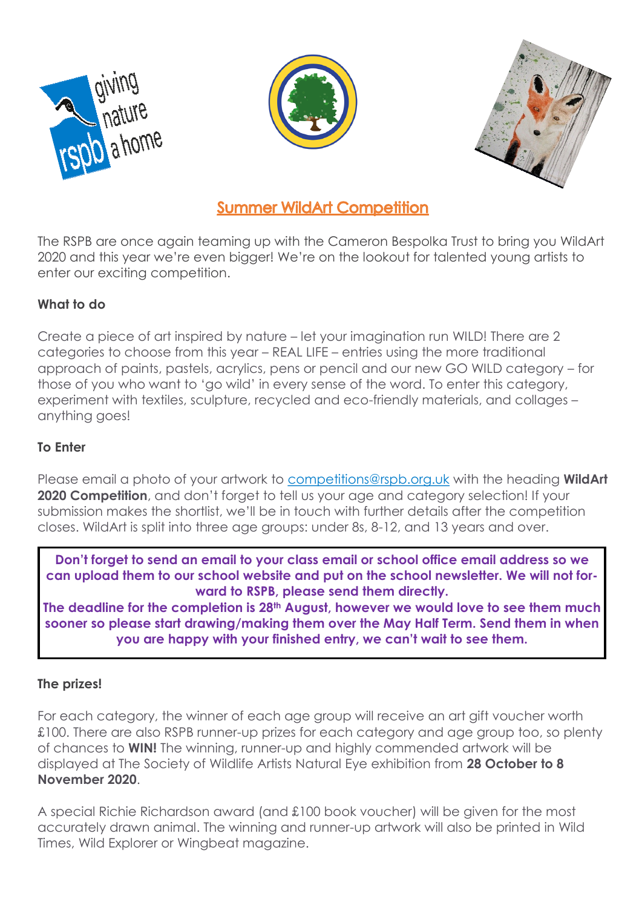





## **Summer WildArt Competition**

The RSPB are once again teaming up with the Cameron Bespolka Trust to bring you WildArt 2020 and this year we're even bigger! We're on the lookout for talented young artists to enter our exciting competition.

### **What to do**

Create a piece of art inspired by nature – let your imagination run WILD! There are 2 categories to choose from this year – REAL LIFE – entries using the more traditional approach of paints, pastels, acrylics, pens or pencil and our new GO WILD category – for those of you who want to 'go wild' in every sense of the word. To enter this category, experiment with textiles, sculpture, recycled and eco-friendly materials, and collages – anything goes!

#### **To Enter**

Please email a photo of your artwork to [competitions@rspb.org.uk](mailto:competitions@rspb.org.uk) with the heading **WildArt 2020 Competition**, and don't forget to tell us your age and category selection! If your submission makes the shortlist, we'll be in touch with further details after the competition closes. WildArt is split into three age groups: under 8s, 8-12, and 13 years and over.

**Don't forget to send an email to your class email or school office email address so we can upload them to our school website and put on the school newsletter. We will not forward to RSPB, please send them directly.**

**The deadline for the completion is 28th August, however we would love to see them much sooner so please start drawing/making them over the May Half Term. Send them in when you are happy with your finished entry, we can't wait to see them.**

#### **The prizes!**

For each category, the winner of each age group will receive an art gift voucher worth £100. There are also RSPB runner-up prizes for each category and age group too, so plenty of chances to **WIN!** The winning, runner-up and highly commended artwork will be displayed at The Society of Wildlife Artists Natural Eye exhibition from **28 October to 8 November 2020**.

A special Richie Richardson award (and £100 book voucher) will be given for the most accurately drawn animal. The winning and runner-up artwork will also be printed in Wild Times, Wild Explorer or Wingbeat magazine.